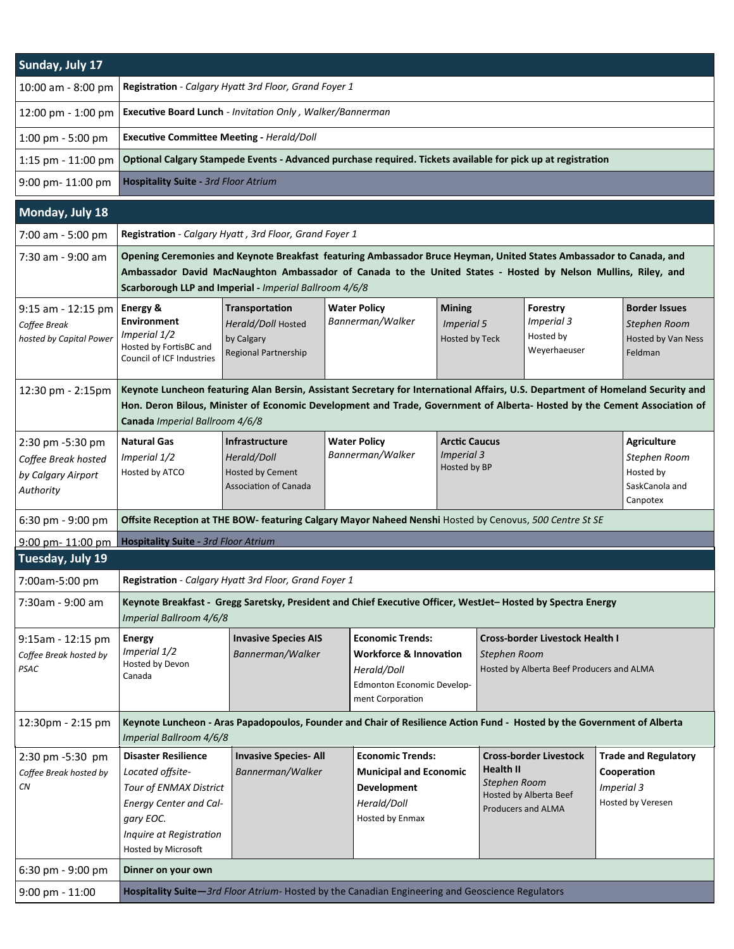| Sunday, July 17                                                            |                                                                                                                                                                                                                                                                                                |                                                                                                 |                                                                                                      |                                                                                                                               |                                                      |                                                                                                     |                                                                               |                                                                               |                                                                       |  |  |  |
|----------------------------------------------------------------------------|------------------------------------------------------------------------------------------------------------------------------------------------------------------------------------------------------------------------------------------------------------------------------------------------|-------------------------------------------------------------------------------------------------|------------------------------------------------------------------------------------------------------|-------------------------------------------------------------------------------------------------------------------------------|------------------------------------------------------|-----------------------------------------------------------------------------------------------------|-------------------------------------------------------------------------------|-------------------------------------------------------------------------------|-----------------------------------------------------------------------|--|--|--|
| 10:00 am - 8:00 pm                                                         | Registration - Calgary Hyatt 3rd Floor, Grand Foyer 1                                                                                                                                                                                                                                          |                                                                                                 |                                                                                                      |                                                                                                                               |                                                      |                                                                                                     |                                                                               |                                                                               |                                                                       |  |  |  |
| 12:00 pm - 1:00 pm                                                         | Executive Board Lunch - Invitation Only, Walker/Bannerman                                                                                                                                                                                                                                      |                                                                                                 |                                                                                                      |                                                                                                                               |                                                      |                                                                                                     |                                                                               |                                                                               |                                                                       |  |  |  |
| 1:00 pm - 5:00 pm                                                          | <b>Executive Committee Meeting - Herald/Doll</b>                                                                                                                                                                                                                                               |                                                                                                 |                                                                                                      |                                                                                                                               |                                                      |                                                                                                     |                                                                               |                                                                               |                                                                       |  |  |  |
| 1:15 pm - 11:00 pm                                                         | Optional Calgary Stampede Events - Advanced purchase required. Tickets available for pick up at registration                                                                                                                                                                                   |                                                                                                 |                                                                                                      |                                                                                                                               |                                                      |                                                                                                     |                                                                               |                                                                               |                                                                       |  |  |  |
| 9:00 pm- 11:00 pm                                                          | <b>Hospitality Suite - 3rd Floor Atrium</b>                                                                                                                                                                                                                                                    |                                                                                                 |                                                                                                      |                                                                                                                               |                                                      |                                                                                                     |                                                                               |                                                                               |                                                                       |  |  |  |
| Monday, July 18                                                            |                                                                                                                                                                                                                                                                                                |                                                                                                 |                                                                                                      |                                                                                                                               |                                                      |                                                                                                     |                                                                               |                                                                               |                                                                       |  |  |  |
| 7:00 am - 5:00 pm                                                          | Registration - Calgary Hyatt, 3rd Floor, Grand Foyer 1                                                                                                                                                                                                                                         |                                                                                                 |                                                                                                      |                                                                                                                               |                                                      |                                                                                                     |                                                                               |                                                                               |                                                                       |  |  |  |
| 7:30 am - 9:00 am                                                          | Opening Ceremonies and Keynote Breakfast featuring Ambassador Bruce Heyman, United States Ambassador to Canada, and<br>Ambassador David MacNaughton Ambassador of Canada to the United States - Hosted by Nelson Mullins, Riley, and<br>Scarborough LLP and Imperial - Imperial Ballroom 4/6/8 |                                                                                                 |                                                                                                      |                                                                                                                               |                                                      |                                                                                                     |                                                                               |                                                                               |                                                                       |  |  |  |
| 9:15 am - 12:15 pm<br>Coffee Break<br>hosted by Capital Power              | Energy &<br>Environment<br>Imperial 1/2<br>Hosted by FortisBC and<br>Council of ICF Industries                                                                                                                                                                                                 | Transportation<br>Herald/Doll Hosted<br>by Calgary<br><b>Regional Partnership</b>               | <b>Water Policy</b><br>Bannerman/Walker                                                              |                                                                                                                               | <b>Mining</b><br><b>Imperial 5</b><br>Hosted by Teck |                                                                                                     | Forestry<br>Imperial 3<br>Hosted by<br>Weyerhaeuser                           |                                                                               | <b>Border Issues</b><br>Stephen Room<br>Hosted by Van Ness<br>Feldman |  |  |  |
| 12:30 pm - 2:15pm                                                          | Keynote Luncheon featuring Alan Bersin, Assistant Secretary for International Affairs, U.S. Department of Homeland Security and<br>Hon. Deron Bilous, Minister of Economic Development and Trade, Government of Alberta- Hosted by the Cement Association of<br>Canada Imperial Ballroom 4/6/8 |                                                                                                 |                                                                                                      |                                                                                                                               |                                                      |                                                                                                     |                                                                               |                                                                               |                                                                       |  |  |  |
| 2:30 pm -5:30 pm<br>Coffee Break hosted<br>by Calgary Airport<br>Authority | <b>Natural Gas</b><br>Imperial 1/2<br>Hosted by ATCO                                                                                                                                                                                                                                           | <b>Infrastructure</b><br>Herald/Doll<br><b>Hosted by Cement</b><br><b>Association of Canada</b> | <b>Arctic Caucus</b><br><b>Water Policy</b><br>Bannerman/Walker<br><b>Imperial 3</b><br>Hosted by BP |                                                                                                                               |                                                      |                                                                                                     |                                                                               | <b>Agriculture</b><br>Stephen Room<br>Hosted by<br>SaskCanola and<br>Canpotex |                                                                       |  |  |  |
| 6:30 pm - 9:00 pm                                                          | Offsite Reception at THE BOW- featuring Calgary Mayor Naheed Nenshi Hosted by Cenovus, 500 Centre St SE                                                                                                                                                                                        |                                                                                                 |                                                                                                      |                                                                                                                               |                                                      |                                                                                                     |                                                                               |                                                                               |                                                                       |  |  |  |
| 9:00 pm-11:00 pm                                                           | <b>Hospitality Suite - 3rd Floor Atrium</b>                                                                                                                                                                                                                                                    |                                                                                                 |                                                                                                      |                                                                                                                               |                                                      |                                                                                                     |                                                                               |                                                                               |                                                                       |  |  |  |
| Tuesday, July 19                                                           |                                                                                                                                                                                                                                                                                                |                                                                                                 |                                                                                                      |                                                                                                                               |                                                      |                                                                                                     |                                                                               |                                                                               |                                                                       |  |  |  |
| 7:00am-5:00 pm                                                             | Registration - Calgary Hyatt 3rd Floor, Grand Foyer 1                                                                                                                                                                                                                                          |                                                                                                 |                                                                                                      |                                                                                                                               |                                                      |                                                                                                     |                                                                               |                                                                               |                                                                       |  |  |  |
| 7:30am - 9:00 am                                                           | Keynote Breakfast - Gregg Saretsky, President and Chief Executive Officer, WestJet-Hosted by Spectra Energy<br>Imperial Ballroom 4/6/8                                                                                                                                                         |                                                                                                 |                                                                                                      |                                                                                                                               |                                                      |                                                                                                     |                                                                               |                                                                               |                                                                       |  |  |  |
| $9:15$ am - 12:15 pm<br>Coffee Break hosted by<br>PSAC                     | <b>Energy</b><br>Imperial 1/2<br>Hosted by Devon<br>Canada                                                                                                                                                                                                                                     | <b>Invasive Species AIS</b><br>Bannerman/Walker                                                 |                                                                                                      | <b>Economic Trends:</b><br><b>Workforce &amp; Innovation</b><br>Herald/Doll<br>Edmonton Economic Develop-<br>ment Corporation |                                                      | <b>Cross-border Livestock Health I</b><br>Stephen Room<br>Hosted by Alberta Beef Producers and ALMA |                                                                               |                                                                               |                                                                       |  |  |  |
| 12:30pm - 2:15 pm                                                          | Keynote Luncheon - Aras Papadopoulos, Founder and Chair of Resilience Action Fund - Hosted by the Government of Alberta<br>Imperial Ballroom 4/6/8                                                                                                                                             |                                                                                                 |                                                                                                      |                                                                                                                               |                                                      |                                                                                                     |                                                                               |                                                                               |                                                                       |  |  |  |
| 2:30 pm -5:30 pm<br>Coffee Break hosted by<br>CN                           | <b>Disaster Resilience</b><br>Located offsite-<br>Tour of ENMAX District<br><b>Energy Center and Cal-</b><br>gary EOC.<br>Inquire at Registration<br>Hosted by Microsoft                                                                                                                       | <b>Invasive Species-All</b><br>Bannerman/Walker                                                 |                                                                                                      | <b>Economic Trends:</b><br><b>Municipal and Economic</b><br>Development<br>Herald/Doll<br>Hosted by Enmax                     |                                                      | <b>Health II</b><br>Stephen Room                                                                    | <b>Cross-border Livestock</b><br>Hosted by Alberta Beef<br>Producers and ALMA | <b>Imperial 3</b>                                                             | <b>Trade and Regulatory</b><br>Cooperation<br>Hosted by Veresen       |  |  |  |
| 6:30 pm - 9:00 pm                                                          | Dinner on your own                                                                                                                                                                                                                                                                             |                                                                                                 |                                                                                                      |                                                                                                                               |                                                      |                                                                                                     |                                                                               |                                                                               |                                                                       |  |  |  |
| $9:00$ pm - $11:00$                                                        | Hospitality Suite-3rd Floor Atrium- Hosted by the Canadian Engineering and Geoscience Regulators                                                                                                                                                                                               |                                                                                                 |                                                                                                      |                                                                                                                               |                                                      |                                                                                                     |                                                                               |                                                                               |                                                                       |  |  |  |